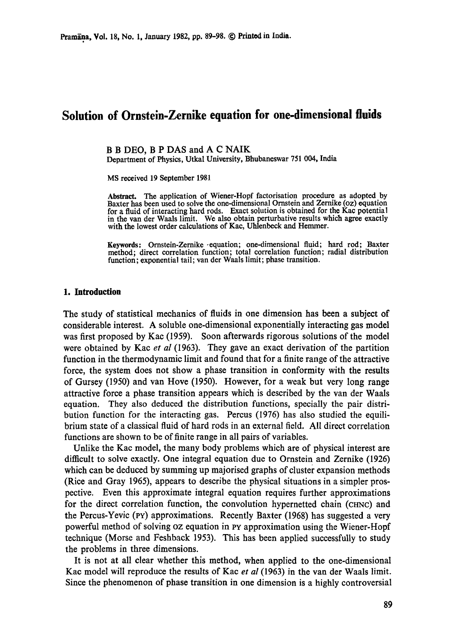# **Solution of Ornstein-Zernike equation for one-dimensional fluids**

**B B DEO, B P** DAS and **A C** NAIK Department of Physics, Utkal University, Bhubaneswar 751 004, India

MS received 19 September 1981

Abstract. The application of Wiener-Hopf factorisation procedure as adopted by Baxter has been used to solve the one-dimensional Ornstein and Zernike (oz) equation for a fluid of interacting hard rods. Exact solution is obtained for the Kac potential in the van der Waals limit. We also obtain perturbative results which agree exactly with the lowest order calculations of Kac, Uhlenbeck and Hemmer.

**Keywords:** Ornstein-Zernike-equation; one-dimensional fluid; hard rod; Baxter method; direct correlation function; total correlation function; radial distribution function; exponential tail; van der Waals limit; phase transition.

## **1. Introduction**

The study of statistical mechanics of fluids in one dimension has been a subject of considerable interest. A soluble one-dimensional exponentially interacting gas model was first proposed by Kae (1959). Soon afterwards rigorous solutions of the model were obtained by Kac *et al* (1963). They gave an exact derivation of the partition function in the thermodynamic limit and found that for a finite range of the attractive force, the system does not show a phase transition in conformity with the results of Gursey (1950) and van Hove (1950). However, for a weak but very long range attractive force a phase transition appears which is described by the van der Waals equation. They also deduced the distribution functions, specially the pair distribution function for the interacting gas. Percus (1976) has also studied the equilibrium state of a classical fluid of hard rods in an external field. All direct correlation functions are shown to be of finite range in all pairs of variables.

Unlike the Kac model, the many body problems which are of physical interest are difficult to solve exactly. One integral equation due to Ornstein and Zernike (1926) which can be deduced by summing up majorised graphs of cluster expansion methods (Rice and Gray 1965), appears to describe the physical situations in a simpler prospective. Even this approximate integral equation requires further approximations for the direct correlation function, the convolution hypernetted chain (CHNC) and the Percus-Yevic (PV) approximations. Recently Baxter (1968) has suggested a very powerful method of solving oz equation in Py approximation using the Wiener-Hopf technique (Morse and Feshback 1953). This has been applied successfully to study the problems in three dimensions.

It is not at all clear whether this method, when applied to the one-dimensional Kac model will reproduce the results of Kac *et al* (1963) in the van der Waals limit. Since the phenomenon of phase transition in one dimension is a highly controversial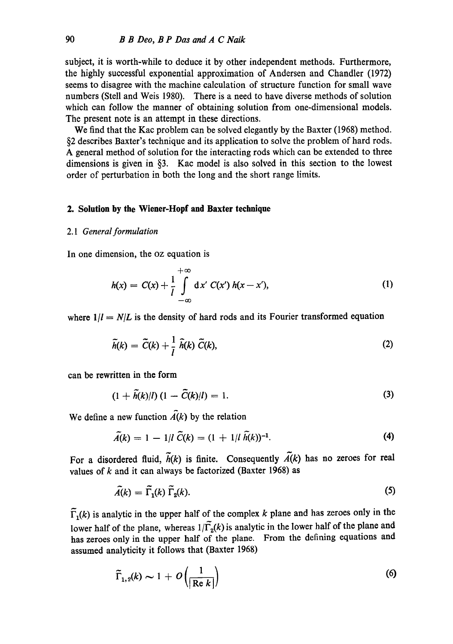subject, it is worth-while to deduce it by other independent methods. Furthermore, the highly successful exponential approximation of Andersen and Chandler (1972) seems to disagree with the machine calculation of structure function for small wave numbers (Stell and Weis 1980). There is a need to have diverse methods of solution which can follow the manner of obtaining solution from one-dimensional models. The present note is an attempt in these directions.

We find that the Kac problem can be solved elegantly by the Baxter (1968) method. §2 describes Baxter's technique and its application to solve the problem of hard rods. A general method of solution for the interacting rods which can be extended to three dimensions is given in  $\S$ 3. Kac model is also solved in this section to the lowest order of perturbation in both the long and the short range limits.

#### **2. Solution by the Wiener-Hopf and Baxter technique**

## *2.1 General formulation*

In one dimension, the oz equation is

$$
h(x) = C(x) + \frac{1}{l} \int_{-\infty}^{+\infty} dx' C(x') h(x - x'),
$$
 (1)

where  $1/l = N/L$  is the density of hard rods and its Fourier transformed equation

$$
\widetilde{h}(k) = \widetilde{C}(k) + \frac{1}{l} \widehat{h}(k) \widetilde{C}(k), \qquad (2)
$$

can be rewritten in the form

$$
(1 + \tilde{h}(k)/l) (1 - \tilde{C}(k)/l) = 1.
$$
 (3)

We define a new function  $\hat{A}(k)$  by the relation

$$
\widetilde{A}(k) = 1 - 1/l \ \widetilde{C}(k) = (1 + 1/l \ \widetilde{h}(k))^{-1}.
$$
 (4)

For a disordered fluid,  $\tilde{h}(k)$  is finite. Consequently  $\tilde{A}(k)$  has no zeroes for real values of  $k$  and it can always be factorized (Baxter 1968) as

$$
\widetilde{A}(k) = \widetilde{\Gamma}_1(k) \widetilde{\Gamma}_2(k). \tag{5}
$$

 $\tilde{\Gamma}_1(k)$  is analytic in the upper half of the complex k plane and has zeroes only in the lower half of the plane, whereas  $1/\tilde{\Gamma}_2(k)$  is analytic in the lower half of the plane and has zeroes only in the upper half of the plane. From the defining equations and assumed analyticity it follows that (Baxter 1968)

$$
\widetilde{\Gamma}_{1,2}(k) \sim 1 + O\left(\frac{1}{|\operatorname{Re} k|}\right) \tag{6}
$$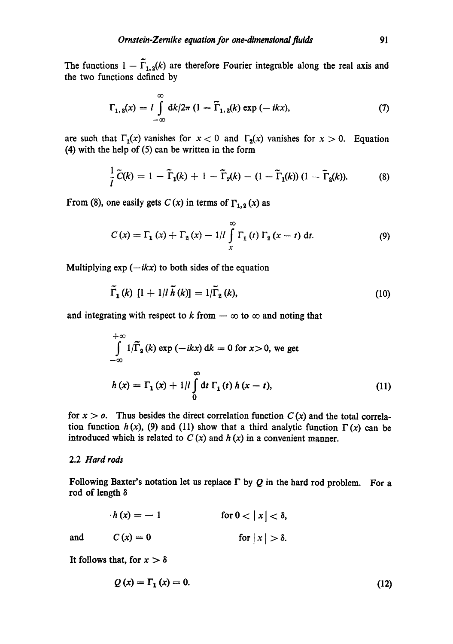The functions  $1 - \tilde{\Gamma}_{1,2}(k)$  are therefore Fourier integrable along the real axis and the two functions defined by

$$
\Gamma_{1,2}(x) = l \int_{-\infty}^{\infty} dk/2\pi (1 - \widetilde{\Gamma}_{1,2}(k) \exp(-ikx)), \qquad (7)
$$

are such that  $\Gamma_1(x)$  vanishes for  $x < 0$  and  $\Gamma_2(x)$  vanishes for  $x > 0$ . Equation (4) with the help of (5) can be written in the form

$$
\frac{1}{l}\widetilde{C}(k) = 1 - \widetilde{\Gamma}_1(k) + 1 - \widetilde{\Gamma}_2(k) - (1 - \widetilde{\Gamma}_1(k))(1 - \widetilde{\Gamma}_2(k)).
$$
\n(8)

From (8), one easily gets  $C(x)$  in terms of  $\Gamma_{1,2}(x)$  as

$$
C(x) = \Gamma_1(x) + \Gamma_2(x) - 1/l \int_{x}^{\infty} \Gamma_1(t) \Gamma_2(x - t) dt.
$$
 (9)

Multiplying  $exp(-ikx)$  to both sides of the equation

$$
\widetilde{\Gamma}_1(k) \left[1 + 1/l \widetilde{h}(k)\right] = 1/\widetilde{\Gamma}_2(k),\tag{10}
$$

and integrating with respect to k from  $-\infty$  to  $\infty$  and noting that

$$
\int_{-\infty}^{+\infty} 1/\tilde{\Gamma}_2(k) \exp(-ikx) dk = 0 \text{ for } x > 0, \text{ we get}
$$
  

$$
h(x) = \Gamma_1(x) + 1/l \int_{0}^{\infty} dt \Gamma_1(t) h(x - t), \qquad (11)
$$

for  $x > 0$ . Thus besides the direct correlation function  $C(x)$  and the total correlation function  $h(x)$ , (9) and (11) show that a third analytic function  $\Gamma(x)$  can be introduced which is related to  $C(x)$  and  $h(x)$  in a convenient manner.

#### 2.2 *Hard rods*

Following Baxter's notation let us replace  $\Gamma$  by  $Q$  in the hard rod problem. For a rod of length  $\delta$ 

$$
h(x) = -1 \qquad \text{for } 0 < |x| < \delta,
$$
\n
$$
C(x) = 0 \qquad \text{for } |x| > \delta.
$$

and  $C (x) = 0$ 

It follows that, for  $x > \delta$ 

$$
Q(x) = \Gamma_1(x) = 0. \tag{12}
$$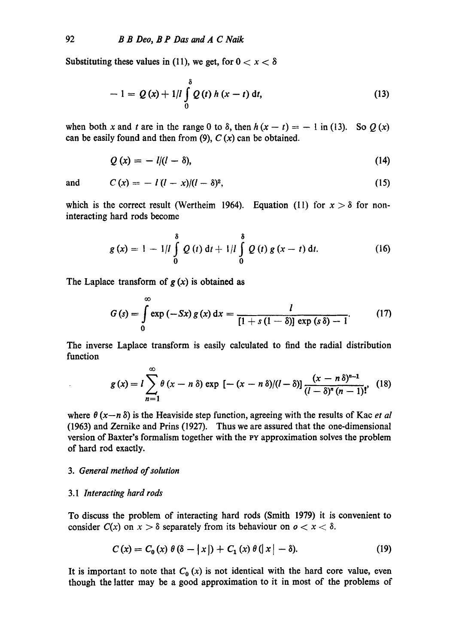Substituting these values in (11), we get, for  $0 < x < \delta$ 

$$
-1 = Q(x) + 1/l \int_{0}^{\delta} Q(t) h(x - t) dt,
$$
 (13)

when both x and t are in the range 0 to  $\delta$ , then  $h(x - t) = -1$  in (13). So Q (x) can be easily found and then from  $(9)$ ,  $C(x)$  can be obtained.

$$
Q(x) = -l(l - \delta), \tag{14}
$$

and 
$$
C(x) = -l(l - x)/(l - \delta)^2
$$
, (15)

which is the correct result (Wertheim 1964). Equation (11) for  $x > \delta$  for noninteracting hard rods become

$$
g(x) = 1 - 1/l \int_{0}^{\delta} Q(t) dt + 1/l \int_{0}^{\delta} Q(t) g(x - t) dt.
$$
 (16)

The Laplace transform of  $g(x)$  is obtained as

$$
G(s) = \int\limits_0^\infty \exp\left(-Sx\right)g\left(x\right)dx = \frac{l}{\left[1+s\left(1-\delta\right)\right]\exp\left(s\,\delta\right)-1}.\tag{17}
$$

The inverse Laplace transform is easily calculated to find the radial distribution function

$$
g(x) = l \sum_{n=1}^{\infty} \theta (x - n \delta) \exp [-(x - n \delta)/(l - \delta)] \frac{(x - n \delta)^{n-1}}{(l - \delta)^n (n - 1)!}.
$$
 (18)

where  $\theta$  (x-n  $\delta$ ) is the Heaviside step function, agreeing with the results of Kac *et al* (1963) and Zernike and Prins (1927). Thus we are assured that the one-dimensional version of Baxter's formalism together with the PV approximation solves the problem of hard rod exactly.

## *3. General method of solution*

# 3.1 *Interacting hard rods*

To discuss the problem of interacting hard rods (Smith 1979) it is convenient to consider  $C(x)$  on  $x > \delta$  separately from its behaviour on  $o < x < \delta$ .

$$
C(x) = C_0(x) \theta(\delta - |x|) + C_1(x) \theta(|x| - \delta).
$$
 (19)

It is important to note that  $C_0(x)$  is not identical with the hard core value, even though the latter may be a good approximation to it in most of the problems of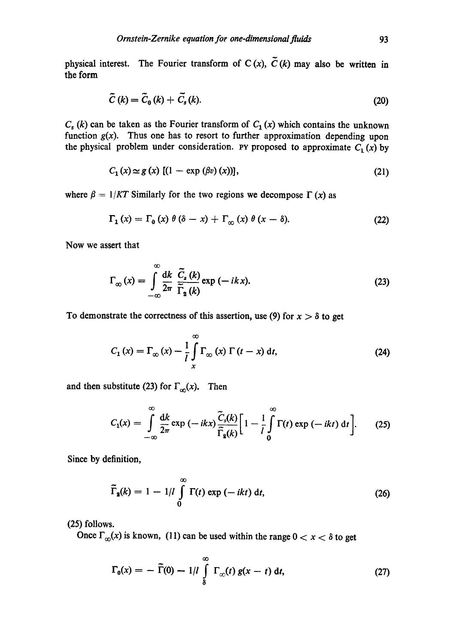physical interest. The Fourier transform of C(x),  $\tilde{C}(k)$  may also be written in the form

$$
\tilde{C}(k) = \tilde{C}_0(k) + \tilde{C}_s(k). \tag{20}
$$

 $C_s$  (k) can be taken as the Fourier transform of  $C_1(x)$  which contains the unknown function  $g(x)$ . Thus one has to resort to further approximation depending upon the physical problem under consideration. Pv proposed to approximate  $C_1(x)$  by

$$
C_1(x) \simeq g(x) \left[ (1 - \exp(\beta v)(x)) \right],\tag{21}
$$

where  $\beta = 1/KT$  Similarly for the two regions we decompose  $\Gamma(x)$  as

$$
\Gamma_1(x) = \Gamma_0(x) \theta (\delta - x) + \Gamma_{\infty}(x) \theta (x - \delta).
$$
 (22)

Now we assert that

$$
\Gamma_{\infty}(x) = \int_{-\infty}^{\infty} \frac{dk}{2\pi} \frac{\tilde{C}_s(k)}{\tilde{\Gamma}_2(k)} \exp\left(-ikx\right).
$$
 (23)

To demonstrate the correctness of this assertion, use (9) for  $x > \delta$  to get

$$
C_1(x) = \Gamma_{\infty}(x) - \frac{1}{l} \int_{x}^{\infty} \Gamma_{\infty}(x) \Gamma(t - x) dt,
$$
 (24)

and then substitute (23) for  $\Gamma_{\infty}(x)$ . Then

$$
C_1(x) = \int_{-\infty}^{\infty} \frac{dk}{2\pi} \exp\left(-ikx\right) \frac{\widetilde{C}_s(k)}{\widetilde{\Gamma}_2(k)} \left[1 - \frac{1}{l} \int_{0}^{\infty} \Gamma(t) \exp\left(-ikt\right) dt\right].
$$
 (25)

Since by definition,

$$
\widetilde{\Gamma}_2(k) = 1 - 1/l \int_0^\infty \Gamma(t) \exp(-ikt) dt, \qquad (26)
$$

(25) follows.

Once  $\Gamma_{\infty}(x)$  is known, (11) can be used within the range  $0 < x < \delta$  to get

$$
\Gamma_0(x) = -\tilde{\Gamma}(0) - 1/l \int_{\delta}^{\infty} \Gamma_{\infty}(t) g(x - t) dt,
$$
\n(27)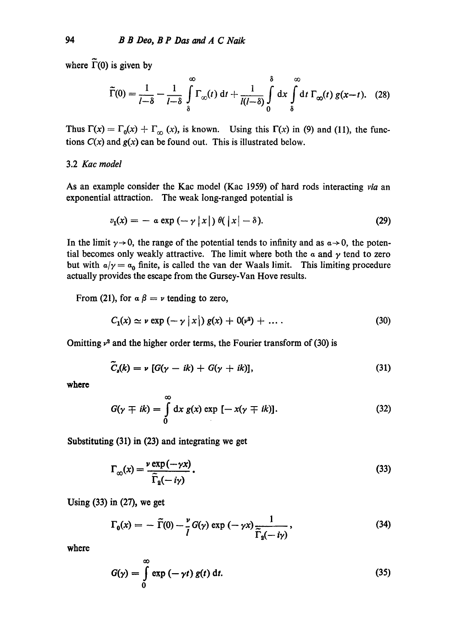where  $\tilde{\Gamma}(0)$  is given by

$$
\widetilde{\Gamma}(0) = \frac{1}{l-\delta} - \frac{1}{l-\delta} \int_{\delta}^{\infty} \Gamma_{\infty}(t) dt + \frac{1}{l(l-\delta)} \int_{0}^{\delta} dx \int_{\delta}^{\infty} dt \Gamma_{\infty}(t) g(x-t). \quad (28)
$$

Thus  $\Gamma(x) = \Gamma_0(x) + \Gamma_{\infty} (x)$ , is known. Using this  $\Gamma(x)$  in (9) and (11), the functions  $C(x)$  and  $g(x)$  can be found out. This is illustrated below.

## 3.2 *Kac model*

As an example consider the Kac model (Kac 1959) of hard rods interacting *via* an exponential attraction. The weak long-ranged potential is

$$
v_1(x) = - a \exp(-\gamma |x|) \theta(|x| - \delta). \tag{29}
$$

In the limit  $\gamma \rightarrow 0$ , the range of the potential tends to infinity and as  $\alpha \rightarrow 0$ , the potential becomes only weakly attractive. The limit where both the  $\alpha$  and  $\gamma$  tend to zero but with  $a/\gamma = a_0$  finite, is called the van der Waals limit. This limiting procedure actually provides the escape from the Gursey-Van Hove results.

From (21), for  $\alpha \beta = \nu$  tending to zero,

$$
C_1(x) \simeq \nu \exp\left(-\gamma \left|x\right|\right) g(x) + 0 \left(\nu^2\right) + \ldots \qquad (30)
$$

Omitting  $v^2$  and the higher order terms, the Fourier transform of (30) is

$$
\widetilde{C}_s(k) = \nu \left[ G(\gamma - ik) + G(\gamma + ik) \right], \tag{31}
$$

**where** 

$$
G(\gamma \mp ik) = \int_{0}^{\infty} dx g(x) \exp \left[ -x(\gamma \mp ik) \right]. \tag{32}
$$

Substituting (31) in (23) and integrating we get

$$
\Gamma_{\infty}(x) = \frac{\nu \exp(-\gamma x)}{\widetilde{\Gamma}_2(-i\gamma)}.
$$
\n(33)

Using (33) in (27), we get

$$
\Gamma_0(x) = -\tilde{\Gamma}(0) - \frac{\nu}{l} G(\gamma) \exp(-\gamma x) \frac{1}{\tilde{\Gamma}_2(-i\gamma)},
$$
\n(34)

where

$$
G(\gamma) = \int_{0}^{\infty} \exp(-\gamma t) g(t) dt.
$$
 (35)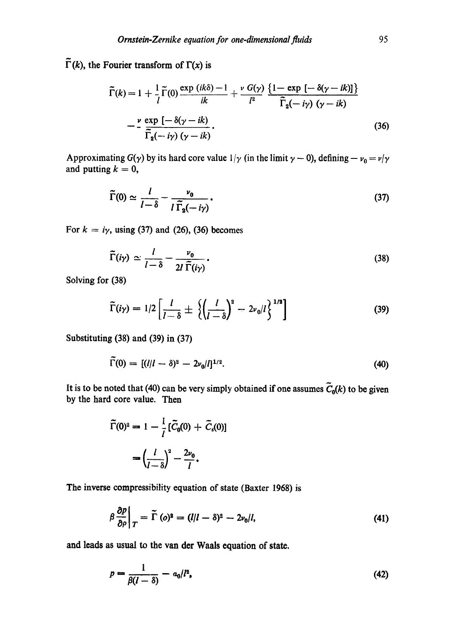$\tilde{\Gamma}(k)$ , the Fourier transform of  $\Gamma(x)$  is

$$
\widetilde{\Gamma}(k) = 1 + \frac{1}{l} \widetilde{\Gamma}(0) \frac{\exp{(ik\delta)} - 1}{ik} + \frac{\nu G(\gamma)}{l^2} \frac{\{1 - \exp{[-\delta(\gamma - ik)]}\}}{\widetilde{\Gamma}_2(-i\gamma) (\gamma - ik)}
$$
\n
$$
- \frac{\nu}{\widetilde{\Gamma}_2(-i\gamma) (\gamma - ik)}.
$$
\n(36)

Approximating  $G(\gamma)$  by its hard core value  $1/\gamma$  (in the limit  $\gamma \sim 0$ ), defining  $-\nu_0 = \nu/\gamma$ and putting  $k = 0$ ,

$$
\widetilde{\Gamma}(0) \simeq \frac{l}{l - \delta} - \frac{\nu_0}{l \, \widetilde{\Gamma}_2(-i\gamma)}.
$$
\n(37)

For  $k = i\gamma$ , using (37) and (26), (36) becomes

$$
\tilde{\Gamma}(i\gamma) \simeq \frac{l}{l-\delta} - \frac{\nu_0}{2l \; \tilde{\Gamma}(i\gamma)}.
$$
\n(38)

Solving for (38)

$$
\widetilde{\Gamma}(i\gamma) = 1/2 \left[ \frac{l}{l-\delta} \pm \left\{ \left( \frac{l}{l-\delta} \right)^2 - 2\nu_0/l \right\}^{1/2} \right] \tag{39}
$$

Substituting (38) and (39) in **(37)** 

$$
\tilde{\Gamma}(0) = [(l/l - \delta)^2 - 2\nu_0/l]^{1/2}.
$$
\n(40)

It is to be noted that (40) can be very simply obtained if one assumes  $\tilde{C}_0(k)$  to be given by the hard core value. Then

$$
\widetilde{\Gamma}(0)^2 = 1 - \frac{1}{l} [\widetilde{C}_0(0) + \widetilde{C}_s(0)]
$$

$$
= \left(\frac{l}{l-\delta}\right)^2 - \frac{2\nu_0}{l}.
$$

**The inverse compressibility equation of state (Baxter 1968) is** 

$$
\beta \frac{\partial p}{\partial \rho}\bigg|_T = \tilde{\Gamma}(o)^2 = (l/l - \delta)^2 - 2\nu_0/l,
$$
\n(41)

**and leads as usual to the van der Waals equation of state.** 

$$
p = \frac{1}{\beta(l-\delta)} - a_0/l^2,
$$
\n(42)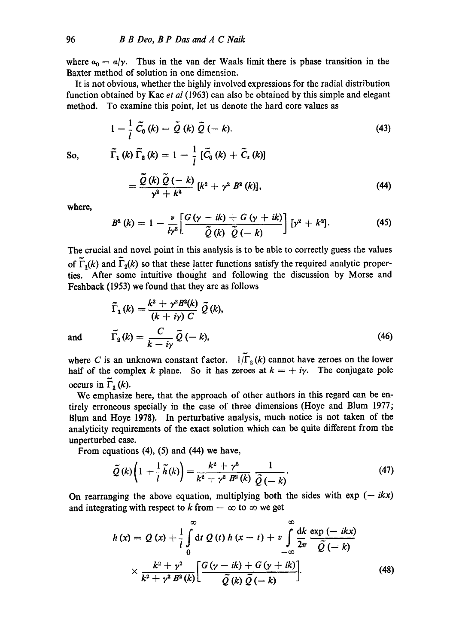where  $a_0 = a/y$ . Thus in the van der Waals limit there is phase transition in the Baxter method of solution in one dimension.

It is not obvious, whether the highly involved expressions for the radial distribution function obtained by Kac *et al* (1963) can also be obtained by this simple and elegant method. To examine this point, let us denote the hard core values as

$$
1 - \frac{1}{l} \tilde{C}_0 (k) = \tilde{Q} (k) \tilde{Q} (-k).
$$
\n
$$
\tilde{\Gamma}_1 (k) \tilde{\Gamma}_2 (k) = 1 - \frac{1}{l} [\tilde{C}_0 (k) + \tilde{C}_s (k)]
$$
\n(43)

$$
=\frac{\tilde{Q}(k)\tilde{Q}(-k)}{\gamma^2+k^2}\left[k^2+\gamma^2\ B^2\ (k)\right],\qquad \qquad (44)
$$

where,

$$
B^{2}(k) = 1 - \frac{\nu}{l\gamma^{2}} \left[ \frac{G(\gamma - ik) + G(\gamma + ik)}{\tilde{Q}(k) - \tilde{Q}(-k)} \right] [\gamma^{2} + k^{2}]. \tag{45}
$$

The crucial and novel point in this analysis is to be able to correctly guess the values of  $\tilde{\Gamma}_1(k)$  and  $\tilde{\Gamma}_2(k)$  so that these latter functions satisfy the required analytic properties. After some intuitive thought and following the discussion by Morse and Feshback (1953) we found that they are as follows

$$
\tilde{\Gamma}_1(k) = \frac{k^2 + \gamma^2 B^2(k)}{(k + i\gamma) C} \tilde{Q}(k),
$$
\nand

\n
$$
\tilde{\Gamma}_2(k) = \frac{C}{k - i\gamma} \tilde{Q}(-k),
$$
\n(46)

where C is an unknown constant factor.  $1/\tilde{\Gamma}_2(k)$  cannot have zeroes on the lower half of the complex k plane. So it has zeroes at  $k = + i\gamma$ . The conjugate pole occurs in  $\Gamma_1(k)$ .

We emphasize here, that the approach of other authors in this regard can be entirely erroneous specially in the case of three dimensions (Hoye and Blum 1977; Blum and Hoye 1978). In perturbative analysis, much notice is not taken of the analyticity requirements of the exact solution which can be quite different from the unperturbed case.

From equations (4), (5) and (44) we have,

$$
\tilde{Q}(k)\left(1+\frac{1}{l}\tilde{h}(k)\right)=\frac{k^2+\gamma^2}{k^2+\gamma^2 B^2(k)}\frac{1}{\tilde{Q}(-k)}.
$$
\n(47)

On rearranging the above equation, multiplying both the sides with  $\exp(-ikx)$ and integrating with respect to k from  $-\infty$  to  $\infty$  we get

$$
h(x) = Q(x) + \frac{1}{l} \int_{0}^{\infty} dt Q(t) h(x - t) + v \int_{-\infty}^{\infty} \frac{dk}{2\pi} \frac{\exp(-ikx)}{\widetilde{Q}(-k)}
$$
  
 
$$
\times \frac{k^{2} + \gamma^{2}}{k^{2} + \gamma^{2} B^{2}(k)} \left[ \frac{G(\gamma - ik) + G(\gamma + ik)}{\widetilde{Q}(k) \widetilde{Q}(-k)} \right].
$$
 (48)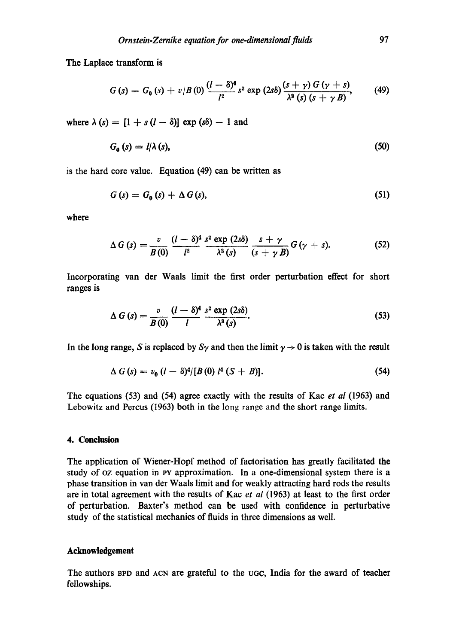The Laplace transform is

$$
G(s) = G_0(s) + v/B(0) \frac{(l-\delta)^4}{l^2} s^2 \exp(2s\delta) \frac{(s+\gamma) G(\gamma+s)}{\lambda^2(s) (s+\gamma B)},
$$
(49)

where  $\lambda(s) = [1 + s(l - \delta)] \exp(s\delta) - 1$  and

$$
G_{\mathbf{0}}\left(s\right) = \mathbf{l}/\lambda\left(s\right),\tag{50}
$$

is the hard core value. Equation (49) can be written as

$$
G(s) = G_0(s) + \Delta G(s), \tag{51}
$$

where

$$
\Delta G\left(s\right)=\frac{v}{B\left(0\right)}\,\frac{\left(l-\delta\right)^{4}\,s^{2}\exp\left(2s\delta\right)}{l^{2}}\,\frac{s+\gamma}{\lambda^{2}\left(s\right)}\frac{s+\gamma}{\left(s+\gamma\,B\right)}G\left(\gamma+s\right). \tag{52}
$$

Incorporating van der Waals limit the first order perturbation effect for short ranges is

$$
\Delta G\left(s\right)=\frac{v}{B\left(0\right)}\frac{\left(l-\delta\right)^{4}}{l}\frac{s^{2}\exp\left(2s\delta\right)}{\lambda^{3}\left(s\right)}.\tag{53}
$$

In the long range, S is replaced by  $S_{\gamma}$  and then the limit  $\gamma \rightarrow 0$  is taken with the result

$$
\Delta G(s) = v_0 (l - \delta)^4 / [B(0) l^4 (S + B)]. \tag{54}
$$

The equations (53) and (54) agree exactly with the results of Kac *et al* (1963) and Lebowitz and Percus (1963) both in the long range and the short range limits.

#### **4. Conclusion**

The application of Wiener-Hopf method of factorisation has greatly facilitated the study of oz equation in PY approximation. In a one-dimensional system there is a phase transition in van der Waals limit and for weakly attracting hard rods the results are in total agreement with the results of Kac *et al* (1963) at least to the first order of perturbation. Baxter's method can be used with confidence in perturbative study of the statistical mechanics of fluids in three dimensions as well.

# **Acknowledgement**

The authors BPD and ACN are grateful to the uGC, India for the award of teacher fellowships.